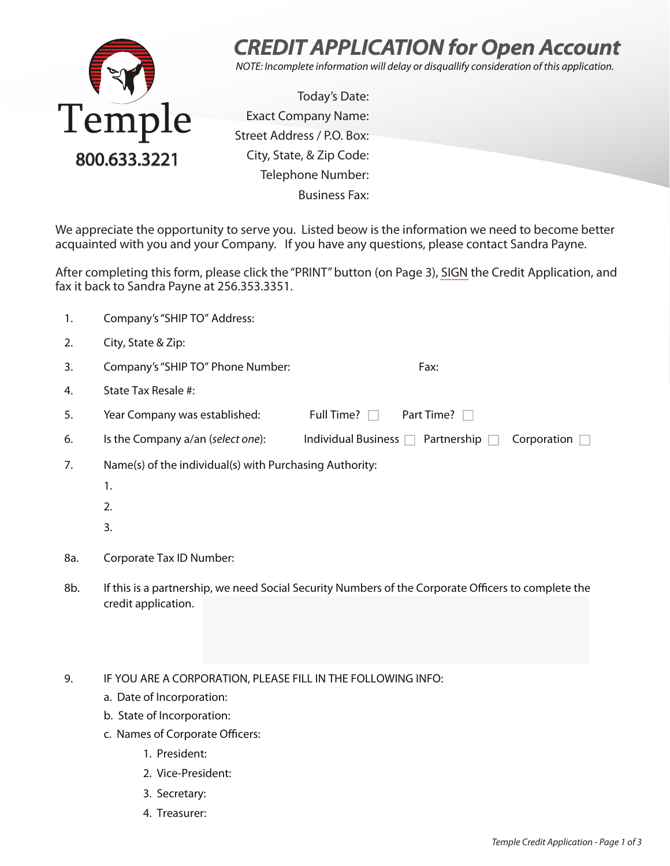

# *CREDIT APPLICATION for Open Account*

*NOTE: Incomplete information will delay or disquallify consideration of this application.*

 Today's Date: Exact Company Name: Street Address / P.O. Box: City, State, & Zip Code: Telephone Number: Business Fax:

We appreciate the opportunity to serve you. Listed beow is the information we need to become better acquainted with you and your Company. If you have any questions, please contact Sandra Payne.

After completing this form, please click the "PRINT" button (on Page 3), SIGN the Credit Application, and fax it back to Sandra Payne at 256.353.3351.

| 1.  | Company's "SHIP TO" Address:                                                                                                                                                |
|-----|-----------------------------------------------------------------------------------------------------------------------------------------------------------------------------|
| 2.  | City, State & Zip:                                                                                                                                                          |
| 3.  | Company's "SHIP TO" Phone Number:<br>Fax:                                                                                                                                   |
| 4.  | State Tax Resale #:                                                                                                                                                         |
| 5.  | Year Company was established:<br>Full Time?<br>Part Time?                                                                                                                   |
| 6.  | Individual Business $\Box$<br>Is the Company a/an (select one):<br>Partnership<br>Corporation                                                                               |
| 7.  | Name(s) of the individual(s) with Purchasing Authority:<br>1.<br>2.<br>3.                                                                                                   |
| 8a. | Corporate Tax ID Number:                                                                                                                                                    |
| 8b. | If this is a partnership, we need Social Security Numbers of the Corporate Officers to complete the<br>credit application.                                                  |
| 9.  | IF YOU ARE A CORPORATION, PLEASE FILL IN THE FOLLOWING INFO:<br>a. Date of Incorporation:<br>b. State of Incorporation:<br>c. Names of Corporate Officers:<br>1. President: |

- 2. Vice-President:
- 3. Secretary:
- 4. Treasurer: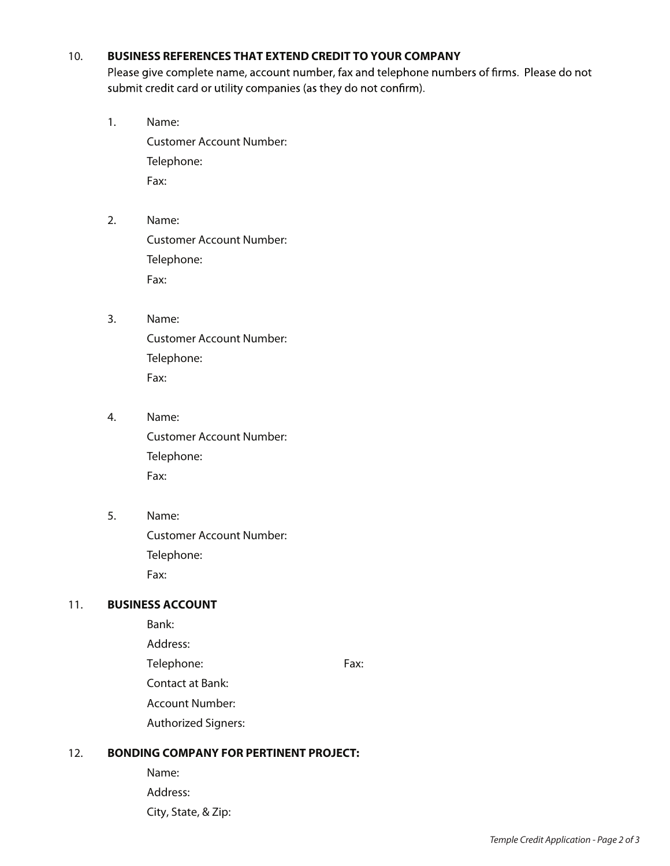# 10. **BUSINESS REFERENCES THAT EXTEND CREDIT TO YOUR COMPANY**

Please give complete name, account number, fax and telephone numbers of firms. Please do not submit credit card or utility companies (as they do not confirm).

- 1. Name: Customer Account Number: Telephone: Fax:
- 2. Name: Customer Account Number: Telephone: Fax:
- 3. Name: Customer Account Number: Telephone: Fax:
- 4. Name: Customer Account Number: Telephone: Fax:
- 5. Name: Customer Account Number: Telephone: Fax:

#### 11. **BUSINESS ACCOUNT**

- Bank:
- Address:
- Telephone: Fax:
- Contact at Bank:
- Account Number:
- Authorized Signers:

# 12. **BONDING COMPANY FOR PERTINENT PROJECT:**

Name: Address: City, State, & Zip: